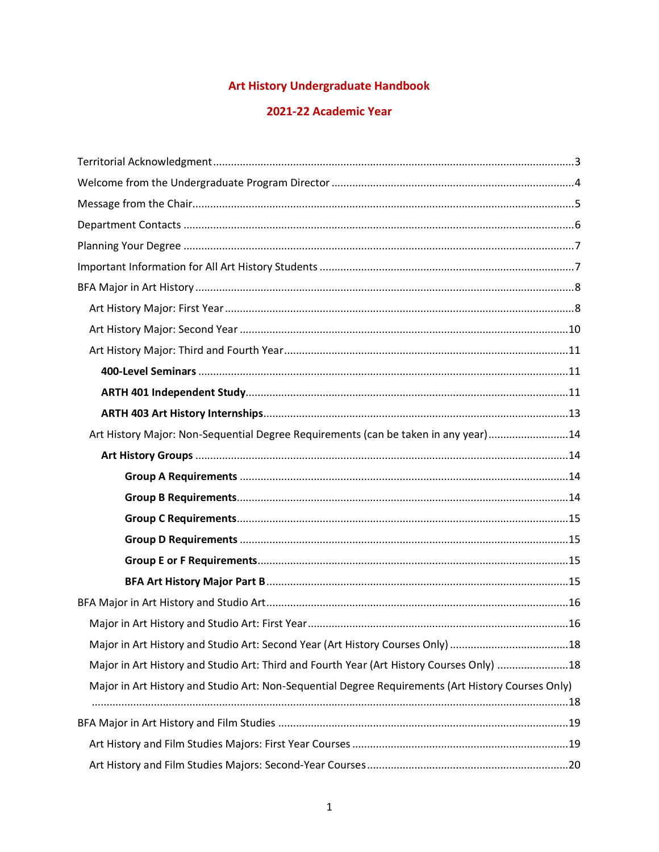### **Art History Undergraduate Handbook**

### 2021-22 Academic Year

| Art History Major: Non-Sequential Degree Requirements (can be taken in any year)14                 |  |
|----------------------------------------------------------------------------------------------------|--|
|                                                                                                    |  |
|                                                                                                    |  |
|                                                                                                    |  |
|                                                                                                    |  |
|                                                                                                    |  |
|                                                                                                    |  |
|                                                                                                    |  |
|                                                                                                    |  |
|                                                                                                    |  |
| Major in Art History and Studio Art: Second Year (Art History Courses Only) 18                     |  |
| Major in Art History and Studio Art: Third and Fourth Year (Art History Courses Only) 18           |  |
| Major in Art History and Studio Art: Non-Sequential Degree Requirements (Art History Courses Only) |  |
|                                                                                                    |  |
|                                                                                                    |  |
|                                                                                                    |  |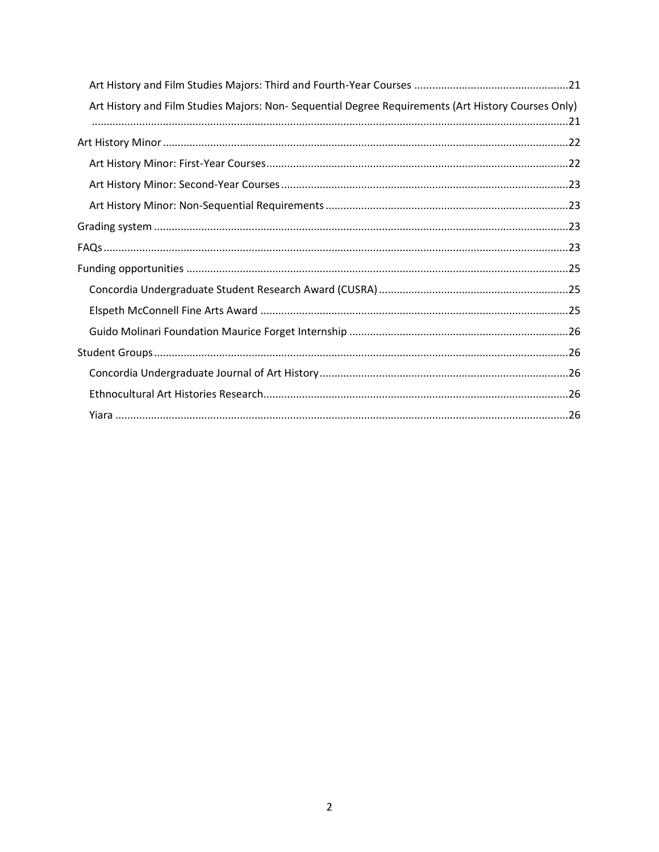| Art History and Film Studies Majors: Non- Sequential Degree Requirements (Art History Courses Only) |
|-----------------------------------------------------------------------------------------------------|
|                                                                                                     |
|                                                                                                     |
|                                                                                                     |
|                                                                                                     |
|                                                                                                     |
|                                                                                                     |
|                                                                                                     |
|                                                                                                     |
|                                                                                                     |
|                                                                                                     |
|                                                                                                     |
|                                                                                                     |
|                                                                                                     |
|                                                                                                     |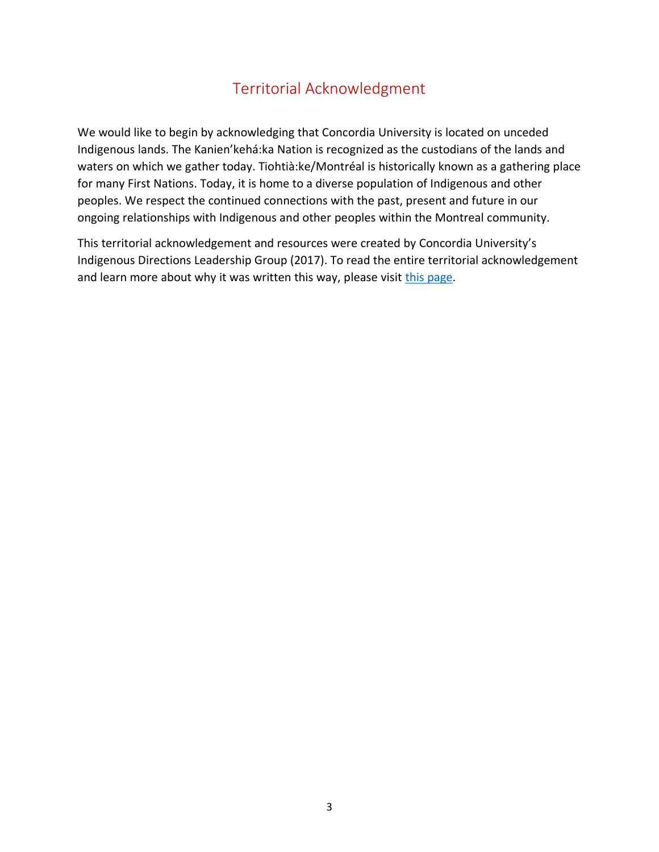# Territorial Acknowledgment

<span id="page-2-0"></span>We would like to begin by acknowledging that Concordia University is located on unceded Indigenous lands. The Kanien'kehá:ka Nation is recognized as the custodians of the lands and waters on which we gather today. Tiohtià:ke/Montréal is historically known as a gathering place for many First Nations. Today, it is home to a diverse population of Indigenous and other peoples. We respect the continued connections with the past, present and future in our ongoing relationships with Indigenous and other peoples within the Montreal community.

This territorial acknowledgement and resources were created by Concordia University's Indigenous Directions Leadership Group (2017). To read the entire territorial acknowledgement and learn more about why it was written this way, please visit [this page.](https://www.concordia.ca/about/indigenous/territorial-acknowledgement.html)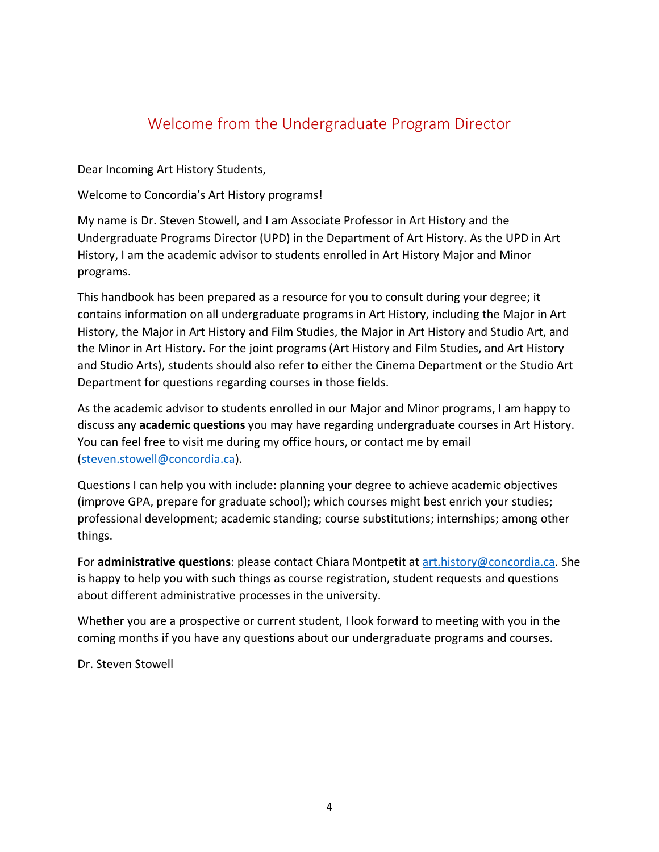# Welcome from the Undergraduate Program Director

<span id="page-3-0"></span>Dear Incoming Art History Students,

Welcome to Concordia's Art History programs!

My name is Dr. Steven Stowell, and I am Associate Professor in Art History and the Undergraduate Programs Director (UPD) in the Department of Art History. As the UPD in Art History, I am the academic advisor to students enrolled in Art History Major and Minor programs.

This handbook has been prepared as a resource for you to consult during your degree; it contains information on all undergraduate programs in Art History, including the Major in Art History, the Major in Art History and Film Studies, the Major in Art History and Studio Art, and the Minor in Art History. For the joint programs (Art History and Film Studies, and Art History and Studio Arts), students should also refer to either the Cinema Department or the Studio Art Department for questions regarding courses in those fields.

As the academic advisor to students enrolled in our Major and Minor programs, I am happy to discuss any **academic questions** you may have regarding undergraduate courses in Art History. You can feel free to visit me during my office hours, or contact me by email [\(steven.stowell@concordia.ca\)](mailto:steven.stowell@concordia.ca).

Questions I can help you with include: planning your degree to achieve academic objectives (improve GPA, prepare for graduate school); which courses might best enrich your studies; professional development; academic standing; course substitutions; internships; among other things.

For **administrative questions**: please contact Chiara Montpetit at [art.history@concordia.ca.](mailto:art.history@concordia.ca) She is happy to help you with such things as course registration, student requests and questions about different administrative processes in the university.

Whether you are a prospective or current student, I look forward to meeting with you in the coming months if you have any questions about our undergraduate programs and courses.

Dr. Steven Stowell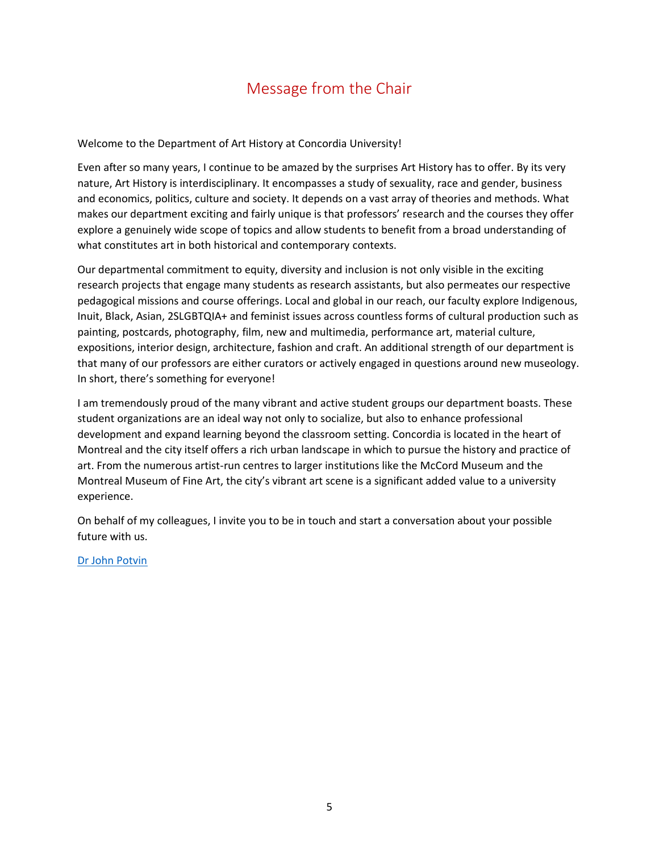# Message from the Chair

<span id="page-4-0"></span>Welcome to the Department of Art History at Concordia University!

Even after so many years, I continue to be amazed by the surprises Art History has to offer. By its very nature, Art History is interdisciplinary. It encompasses a study of sexuality, race and gender, business and economics, politics, culture and society. It depends on a vast array of theories and methods. What makes our department exciting and fairly unique is that professors' research and the courses they offer explore a genuinely wide scope of topics and allow students to benefit from a broad understanding of what constitutes art in both historical and contemporary contexts.

Our departmental commitment to equity, diversity and inclusion is not only visible in the exciting research projects that engage many students as research assistants, but also permeates our respective pedagogical missions and course offerings. Local and global in our reach, our faculty explore Indigenous, Inuit, Black, Asian, 2SLGBTQIA+ and feminist issues across countless forms of cultural production such as painting, postcards, photography, film, new and multimedia, performance art, material culture, expositions, interior design, architecture, fashion and craft. An additional strength of our department is that many of our professors are either curators or actively engaged in questions around new museology. In short, there's something for everyone!

I am tremendously proud of the many vibrant and active student groups our department boasts. These student organizations are an ideal way not only to socialize, but also to enhance professional development and expand learning beyond the classroom setting. Concordia is located in the heart of Montreal and the city itself offers a rich urban landscape in which to pursue the history and practice of art. From the numerous artist-run centres to larger institutions like the McCord Museum and the Montreal Museum of Fine Art, the city's vibrant art scene is a significant added value to a university experience.

On behalf of my colleagues, I invite you to be in touch and start a conversation about your possible future with us.

[Dr John Potvin](https://can01.safelinks.protection.outlook.com/?url=https%3A%2F%2Fwww.concordia.ca%2Ffinearts%2Fart-history%2Ffaculty.html%3Ffpid%3Djohn-potvin&data=04%7C01%7Ccamille.pouliot%40concordia.ca%7C4b06d3c2f971440078df08d9f87a54ff%7C5569f185d22f4e139850ce5b1abcd2e8%7C0%7C0%7C637814026557271115%7CUnknown%7CTWFpbGZsb3d8eyJWIjoiMC4wLjAwMDAiLCJQIjoiV2luMzIiLCJBTiI6Ik1haWwiLCJXVCI6Mn0%3D%7C3000&sdata=X%2FrrNs6TTDFM%2FtNiNzZkV4zsCZV%2B%2B3Kxw5cdalBUDk0%3D&reserved=0)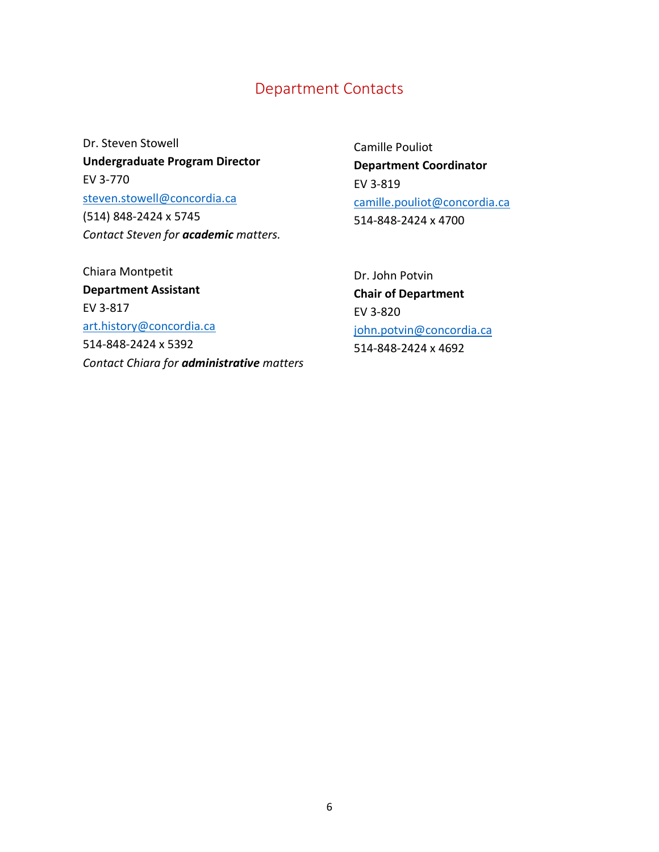## Department Contacts

<span id="page-5-0"></span>Dr. Steven Stowell **Undergraduate Program Director** EV 3-770 steven.stowell@concordia.ca (514) 848-2424 x 5745 *Contact Steven for academic matters.*

Camille Pouliot **Department Coordinator** EV 3-819 camille.pouliot@concordia.ca 514-848-2424 x 4700

Chiara Montpetit **Department Assistant**  EV 3-817 art.history@concordia.ca 514-848-2424 x 5392 *Contact Chiara for administrative matters*

Dr. John Potvin **Chair of Department** EV 3-820 [john.potvin@concordia.ca](mailto:john.potvin@concordia.ca) 514-848-2424 x 4692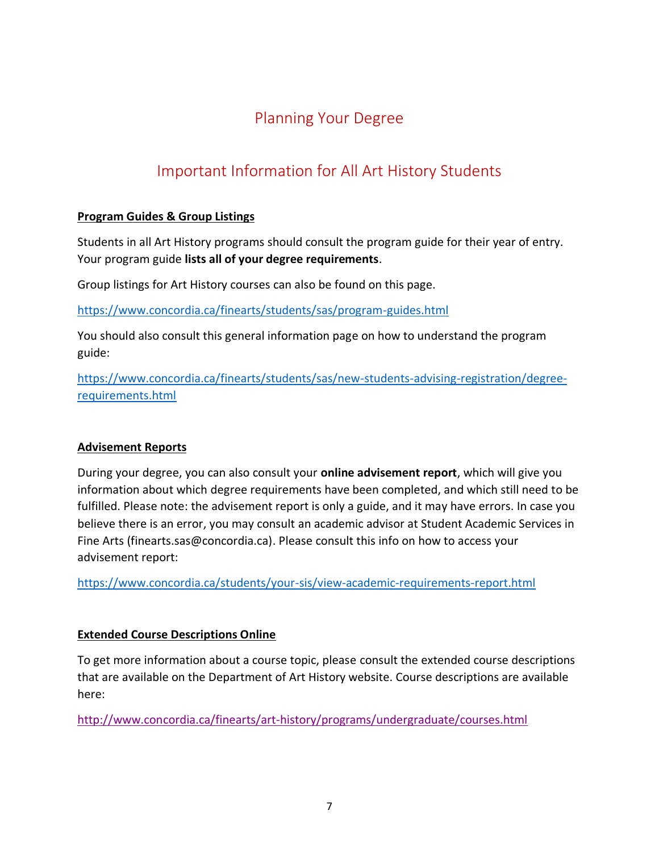# Planning Your Degree

# <span id="page-6-0"></span>Important Information for All Art History Students

### <span id="page-6-1"></span>**Program Guides & Group Listings**

Students in all Art History programs should consult the program guide for their year of entry. Your program guide **lists all of your degree requirements**.

Group listings for Art History courses can also be found on this page.

<https://www.concordia.ca/finearts/students/sas/program-guides.html>

You should also consult this general information page on how to understand the program guide:

[https://www.concordia.ca/finearts/students/sas/new-students-advising-registration/degree](https://www.concordia.ca/finearts/students/sas/new-students-advising-registration/degree-requirements.html)[requirements.html](https://www.concordia.ca/finearts/students/sas/new-students-advising-registration/degree-requirements.html)

#### **Advisement Reports**

During your degree, you can also consult your **online advisement report**, which will give you information about which degree requirements have been completed, and which still need to be fulfilled. Please note: the advisement report is only a guide, and it may have errors. In case you believe there is an error, you may consult an academic advisor at Student Academic Services in Fine Arts (finearts.sas@concordia.ca). Please consult this info on how to access your advisement report:

<https://www.concordia.ca/students/your-sis/view-academic-requirements-report.html>

#### **Extended Course Descriptions Online**

To get more information about a course topic, please consult the extended course descriptions that are available on the Department of Art History website. Course descriptions are available here:

<http://www.concordia.ca/finearts/art-history/programs/undergraduate/courses.html>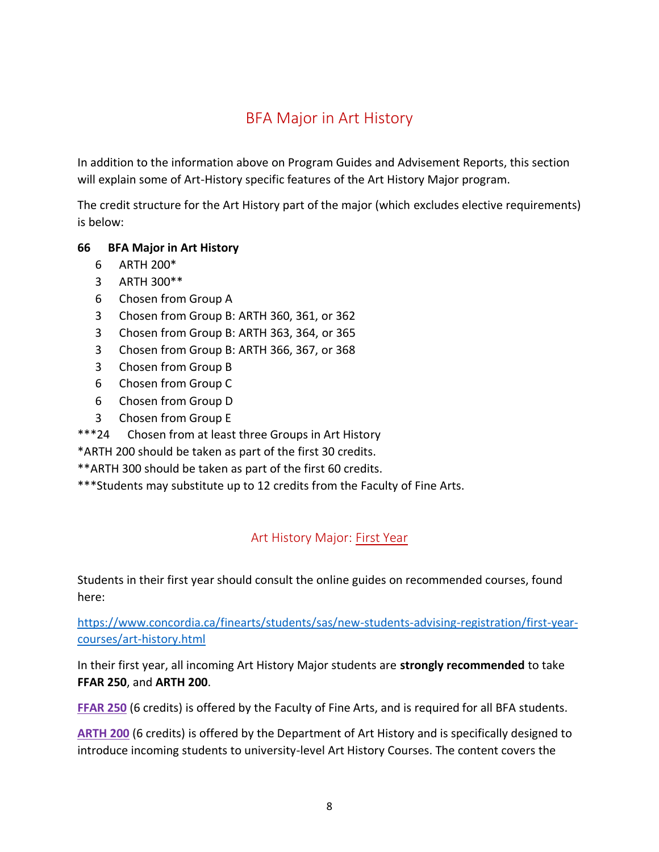# BFA Major in Art History

<span id="page-7-0"></span>In addition to the information above on Program Guides and Advisement Reports, this section will explain some of Art-History specific features of the Art History Major program.

The credit structure for the Art History part of the major (which excludes elective requirements) is below:

#### **66 BFA Major in Art History**

- 6 ARTH 200\*
- 3 ARTH 300\*\*
- 6 Chosen from Group A
- 3 Chosen from Group B: ARTH 360, 361, or 362
- 3 Chosen from Group B: ARTH 363, 364, or 365
- 3 Chosen from Group B: ARTH 366, 367, or 368
- 3 Chosen from Group B
- 6 Chosen from Group C
- 6 Chosen from Group D
- 3 Chosen from Group E
- \*\*\*24 Chosen from at least three Groups in Art History
- \*ARTH 200 should be taken as part of the first 30 credits.
- \*\*ARTH 300 should be taken as part of the first 60 credits.
- \*\*\*Students may substitute up to 12 credits from the Faculty of Fine Arts.

## Art History Major: First Year

<span id="page-7-1"></span>Students in their first year should consult the online guides on recommended courses, found here:

[https://www.concordia.ca/finearts/students/sas/new-students-advising-registration/first-year](https://www.concordia.ca/finearts/students/sas/new-students-advising-registration/first-year-courses/art-history.html)[courses/art-history.html](https://www.concordia.ca/finearts/students/sas/new-students-advising-registration/first-year-courses/art-history.html)

In their first year, all incoming Art History Major students are **strongly recommended** to take **FFAR 250**, and **ARTH 200**.

**FFAR 250** (6 credits) is offered by the Faculty of Fine Arts, and is required for all BFA students.

**ARTH 200** (6 credits) is offered by the Department of Art History and is specifically designed to introduce incoming students to university-level Art History Courses. The content covers the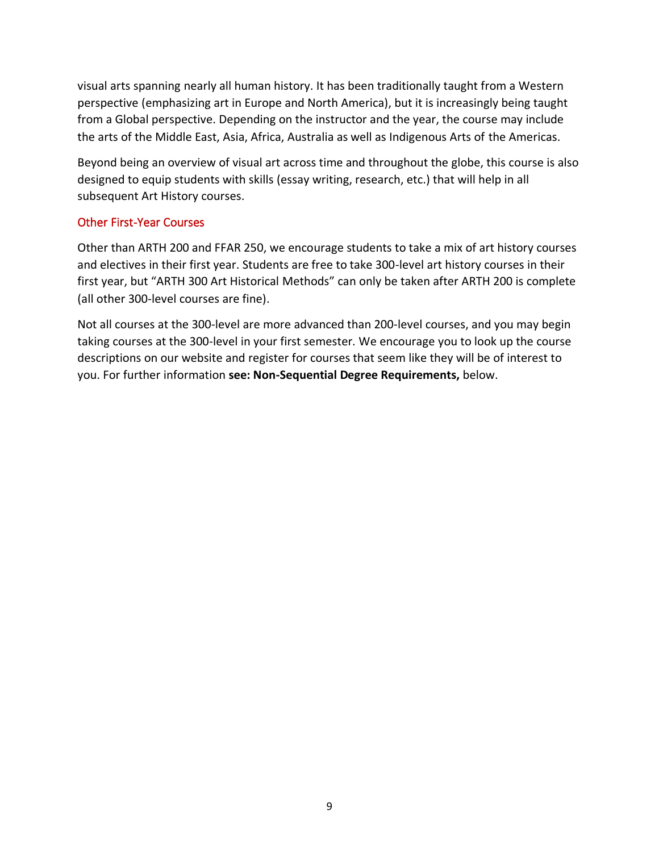visual arts spanning nearly all human history. It has been traditionally taught from a Western perspective (emphasizing art in Europe and North America), but it is increasingly being taught from a Global perspective. Depending on the instructor and the year, the course may include the arts of the Middle East, Asia, Africa, Australia as well as Indigenous Arts of the Americas.

Beyond being an overview of visual art across time and throughout the globe, this course is also designed to equip students with skills (essay writing, research, etc.) that will help in all subsequent Art History courses.

#### Other First-Year Courses

Other than ARTH 200 and FFAR 250, we encourage students to take a mix of art history courses and electives in their first year. Students are free to take 300-level art history courses in their first year, but "ARTH 300 Art Historical Methods" can only be taken after ARTH 200 is complete (all other 300-level courses are fine).

Not all courses at the 300-level are more advanced than 200-level courses, and you may begin taking courses at the 300-level in your first semester. We encourage you to look up the course descriptions on our website and register for courses that seem like they will be of interest to you. For further information **see: Non-Sequential Degree Requirements,** below.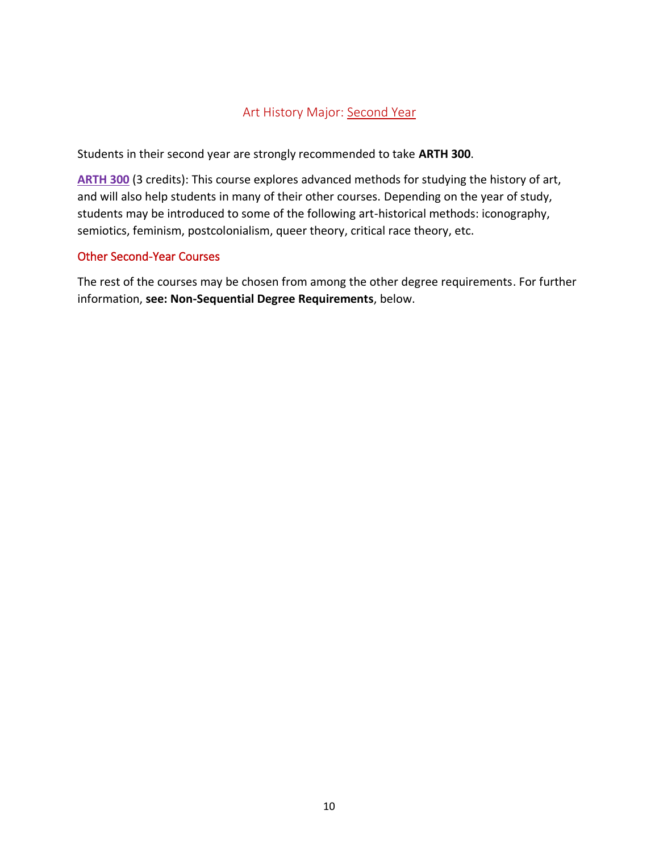### Art History Major: Second Year

<span id="page-9-0"></span>Students in their second year are strongly recommended to take **ARTH 300**.

**ARTH 300** (3 credits): This course explores advanced methods for studying the history of art, and will also help students in many of their other courses. Depending on the year of study, students may be introduced to some of the following art-historical methods: iconography, semiotics, feminism, postcolonialism, queer theory, critical race theory, etc.

#### Other Second-Year Courses

The rest of the courses may be chosen from among the other degree requirements. For further information, **see: Non-Sequential Degree Requirements**, below.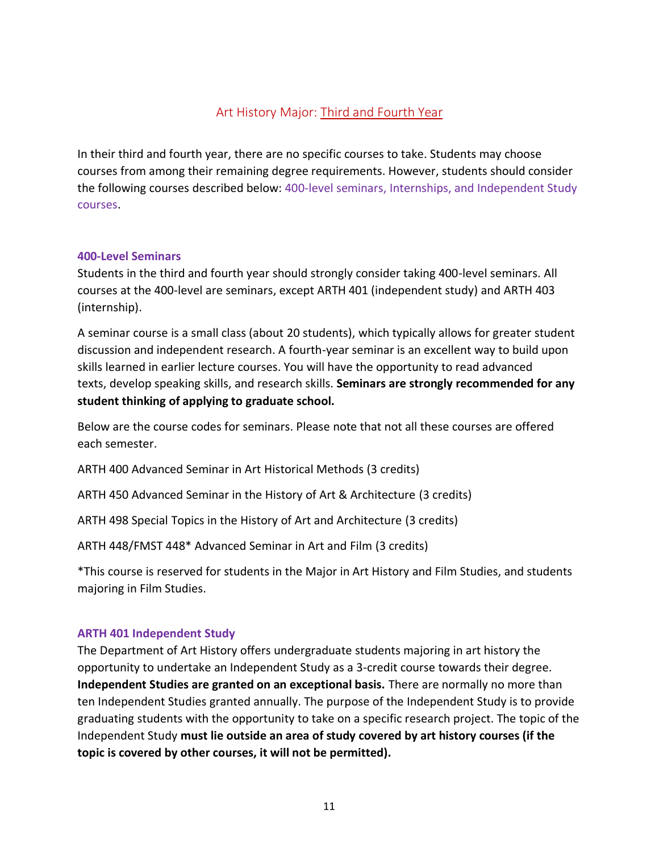### Art History Major: Third and Fourth Year

<span id="page-10-0"></span>In their third and fourth year, there are no specific courses to take. Students may choose courses from among their remaining degree requirements. However, students should consider the following courses described below: 400-level seminars, Internships, and Independent Study courses.

#### <span id="page-10-1"></span>**400-Level Seminars**

Students in the third and fourth year should strongly consider taking 400-level seminars. All courses at the 400-level are seminars, except ARTH 401 (independent study) and ARTH 403 (internship).

A seminar course is a small class (about 20 students), which typically allows for greater student discussion and independent research. A fourth-year seminar is an excellent way to build upon skills learned in earlier lecture courses. You will have the opportunity to read advanced texts, develop speaking skills, and research skills. **Seminars are strongly recommended for any student thinking of applying to graduate school.** 

Below are the course codes for seminars. Please note that not all these courses are offered each semester.

ARTH 400 Advanced Seminar in Art Historical Methods (3 credits)

ARTH 450 Advanced Seminar in the History of Art & Architecture (3 credits)

ARTH 498 Special Topics in the History of Art and Architecture (3 credits)

ARTH 448/FMST 448\* Advanced Seminar in Art and Film (3 credits)

\*This course is reserved for students in the Major in Art History and Film Studies, and students majoring in Film Studies.

#### <span id="page-10-2"></span>**ARTH 401 Independent Study**

The Department of Art History offers undergraduate students majoring in art history the opportunity to undertake an Independent Study as a 3-credit course towards their degree. **Independent Studies are granted on an exceptional basis.** There are normally no more than ten Independent Studies granted annually. The purpose of the Independent Study is to provide graduating students with the opportunity to take on a specific research project. The topic of the Independent Study **must lie outside an area of study covered by art history courses (if the topic is covered by other courses, it will not be permitted).**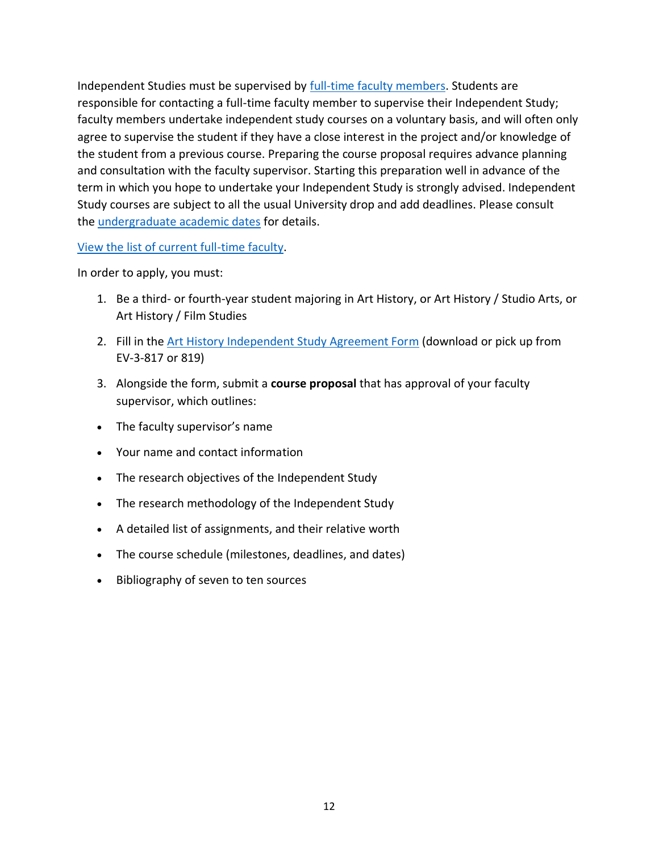Independent Studies must be supervised by **full-time faculty members**. Students are responsible for contacting a full-time faculty member to supervise their Independent Study; faculty members undertake independent study courses on a voluntary basis, and will often only agree to supervise the student if they have a close interest in the project and/or knowledge of the student from a previous course. Preparing the course proposal requires advance planning and consultation with the faculty supervisor. Starting this preparation well in advance of the term in which you hope to undertake your Independent Study is strongly advised. Independent Study courses are subject to all the usual University drop and add deadlines. Please consult the [undergraduate academic dates](https://www.concordia.ca/students/undergraduate/undergraduate-academic-dates.html) for details.

#### [View the list of current full-time faculty.](https://www.concordia.ca/finearts/art-history/about/faculty.html)

In order to apply, you must:

- 1. Be a third- or fourth-year student majoring in Art History, or Art History / Studio Arts, or Art History / Film Studies
- 2. Fill in the [Art History Independent Study Agreement Form](https://www.concordia.ca/content/dam/finearts/art-history/docs/ARTH_401_Independent_Study_Agreement_Form.pdf) (download or pick up from EV-3-817 or 819)
- 3. Alongside the form, submit a **course proposal** that has approval of your faculty supervisor, which outlines:
- The faculty supervisor's name
- Your name and contact information
- The research objectives of the Independent Study
- The research methodology of the Independent Study
- A detailed list of assignments, and their relative worth
- The course schedule (milestones, deadlines, and dates)
- Bibliography of seven to ten sources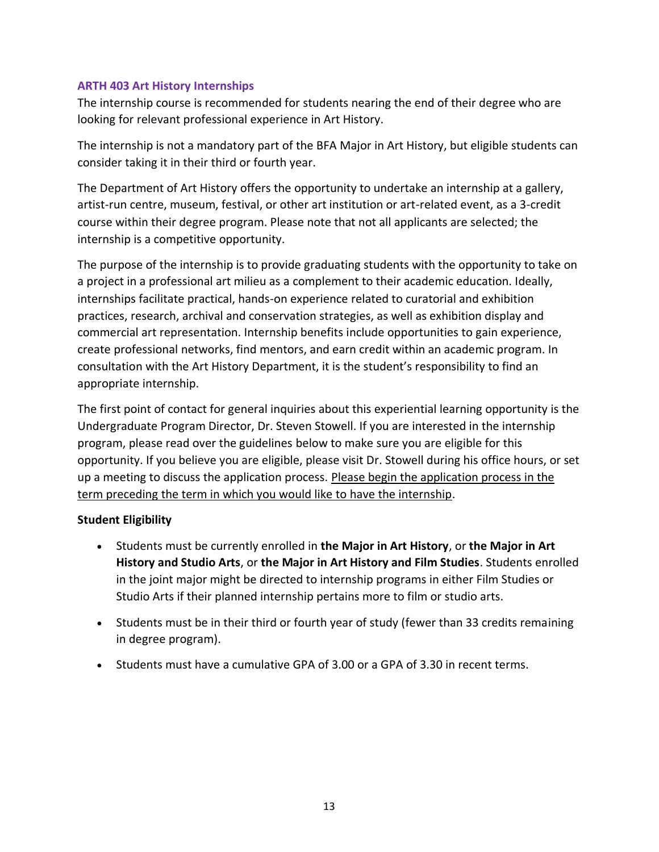#### <span id="page-12-0"></span>**ARTH 403 Art History Internships**

The internship course is recommended for students nearing the end of their degree who are looking for relevant professional experience in Art History.

The internship is not a mandatory part of the BFA Major in Art History, but eligible students can consider taking it in their third or fourth year.

The Department of Art History offers the opportunity to undertake an internship at a gallery, artist-run centre, museum, festival, or other art institution or art-related event, as a 3-credit course within their degree program. Please note that not all applicants are selected; the internship is a competitive opportunity.

The purpose of the internship is to provide graduating students with the opportunity to take on a project in a professional art milieu as a complement to their academic education. Ideally, internships facilitate practical, hands-on experience related to curatorial and exhibition practices, research, archival and conservation strategies, as well as exhibition display and commercial art representation. Internship benefits include opportunities to gain experience, create professional networks, find mentors, and earn credit within an academic program. In consultation with the Art History Department, it is the student's responsibility to find an appropriate internship.

The first point of contact for general inquiries about this experiential learning opportunity is the Undergraduate Program Director, Dr. Steven Stowell. If you are interested in the internship program, please read over the guidelines below to make sure you are eligible for this opportunity. If you believe you are eligible, please visit Dr. Stowell during his office hours, or set up a meeting to discuss the application process. Please begin the application process in the term preceding the term in which you would like to have the internship.

#### **Student Eligibility**

- Students must be currently enrolled in **the Major in Art History**, or **the Major in Art History and Studio Arts**, or **the Major in Art History and Film Studies**. Students enrolled in the joint major might be directed to internship programs in either Film Studies or Studio Arts if their planned internship pertains more to film or studio arts.
- Students must be in their third or fourth year of study (fewer than 33 credits remaining in degree program).
- Students must have a cumulative GPA of 3.00 or a GPA of 3.30 in recent terms.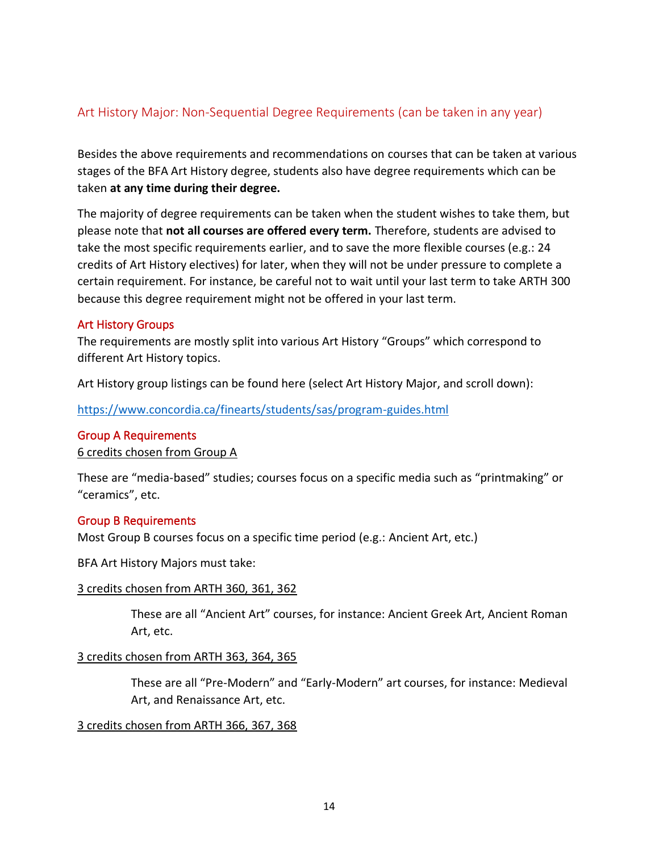### <span id="page-13-0"></span>Art History Major: Non-Sequential Degree Requirements (can be taken in any year)

Besides the above requirements and recommendations on courses that can be taken at various stages of the BFA Art History degree, students also have degree requirements which can be taken **at any time during their degree.** 

The majority of degree requirements can be taken when the student wishes to take them, but please note that **not all courses are offered every term.** Therefore, students are advised to take the most specific requirements earlier, and to save the more flexible courses (e.g.: 24 credits of Art History electives) for later, when they will not be under pressure to complete a certain requirement. For instance, be careful not to wait until your last term to take ARTH 300 because this degree requirement might not be offered in your last term.

#### <span id="page-13-1"></span>Art History Groups

The requirements are mostly split into various Art History "Groups" which correspond to different Art History topics.

Art History group listings can be found here (select Art History Major, and scroll down):

<https://www.concordia.ca/finearts/students/sas/program-guides.html>

#### <span id="page-13-2"></span>Group A Requirements

6 credits chosen from Group A

These are "media-based" studies; courses focus on a specific media such as "printmaking" or "ceramics", etc.

#### <span id="page-13-3"></span>Group B Requirements

Most Group B courses focus on a specific time period (e.g.: Ancient Art, etc.)

BFA Art History Majors must take:

#### 3 credits chosen from ARTH 360, 361, 362

These are all "Ancient Art" courses, for instance: Ancient Greek Art, Ancient Roman Art, etc.

#### 3 credits chosen from ARTH 363, 364, 365

These are all "Pre-Modern" and "Early-Modern" art courses, for instance: Medieval Art, and Renaissance Art, etc.

#### 3 credits chosen from ARTH 366, 367, 368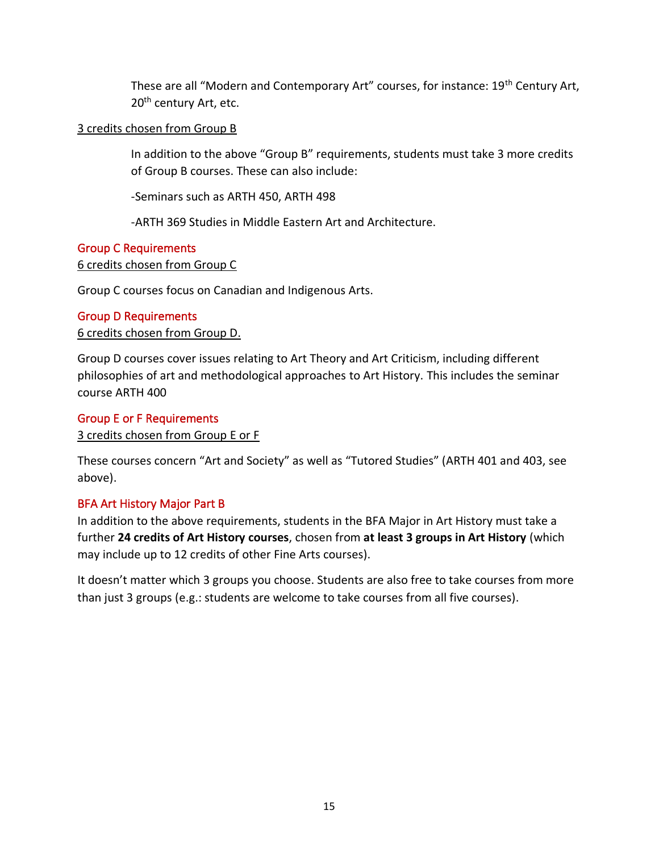These are all "Modern and Contemporary Art" courses, for instance: 19<sup>th</sup> Century Art, 20<sup>th</sup> century Art, etc.

#### 3 credits chosen from Group B

In addition to the above "Group B" requirements, students must take 3 more credits of Group B courses. These can also include:

-Seminars such as ARTH 450, ARTH 498

-ARTH 369 Studies in Middle Eastern Art and Architecture.

#### <span id="page-14-0"></span>Group C Requirements

6 credits chosen from Group C

Group C courses focus on Canadian and Indigenous Arts.

#### <span id="page-14-1"></span>Group D Requirements

6 credits chosen from Group D.

Group D courses cover issues relating to Art Theory and Art Criticism, including different philosophies of art and methodological approaches to Art History. This includes the seminar course ARTH 400

#### <span id="page-14-2"></span>Group E or F Requirements

3 credits chosen from Group E or F

These courses concern "Art and Society" as well as "Tutored Studies" (ARTH 401 and 403, see above).

#### <span id="page-14-3"></span>BFA Art History Major Part B

In addition to the above requirements, students in the BFA Major in Art History must take a further **24 credits of Art History courses**, chosen from **at least 3 groups in Art History** (which may include up to 12 credits of other Fine Arts courses).

It doesn't matter which 3 groups you choose. Students are also free to take courses from more than just 3 groups (e.g.: students are welcome to take courses from all five courses).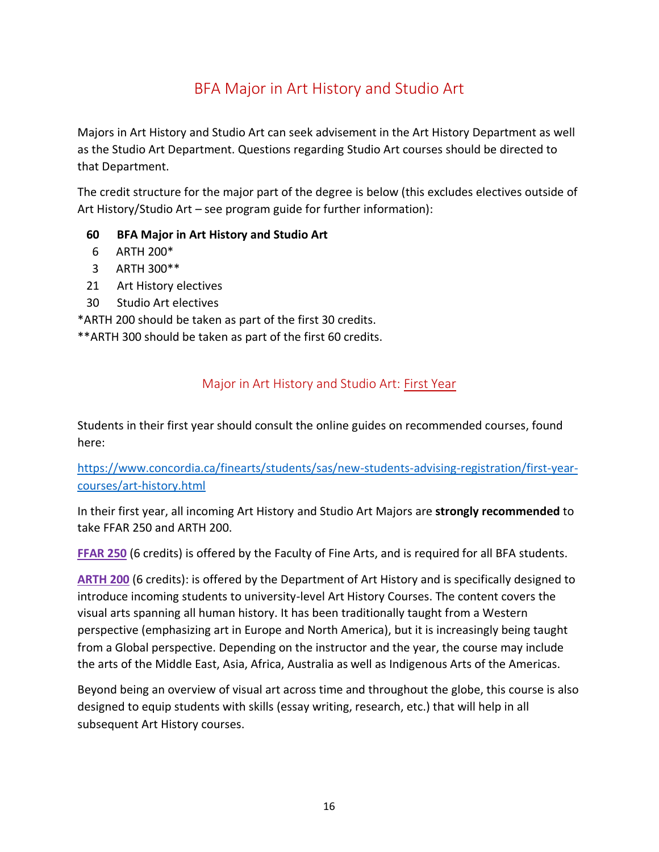# BFA Major in Art History and Studio Art

<span id="page-15-0"></span>Majors in Art History and Studio Art can seek advisement in the Art History Department as well as the Studio Art Department. Questions regarding Studio Art courses should be directed to that Department.

The credit structure for the major part of the degree is below (this excludes electives outside of Art History/Studio Art – see program guide for further information):

- **60 BFA Major in Art History and Studio Art**
- 6 ARTH 200\*
- 3 ARTH 300\*\*
- 21 Art History electives
- 30 Studio Art electives

\*ARTH 200 should be taken as part of the first 30 credits.

<span id="page-15-1"></span>\*\*ARTH 300 should be taken as part of the first 60 credits.

#### Major in Art History and Studio Art: First Year

Students in their first year should consult the online guides on recommended courses, found here:

[https://www.concordia.ca/finearts/students/sas/new-students-advising-registration/first-year](https://www.concordia.ca/finearts/students/sas/new-students-advising-registration/first-year-courses/art-history.html)[courses/art-history.html](https://www.concordia.ca/finearts/students/sas/new-students-advising-registration/first-year-courses/art-history.html)

In their first year, all incoming Art History and Studio Art Majors are **strongly recommended** to take FFAR 250 and ARTH 200.

**FFAR 250** (6 credits) is offered by the Faculty of Fine Arts, and is required for all BFA students.

**ARTH 200** (6 credits): is offered by the Department of Art History and is specifically designed to introduce incoming students to university-level Art History Courses. The content covers the visual arts spanning all human history. It has been traditionally taught from a Western perspective (emphasizing art in Europe and North America), but it is increasingly being taught from a Global perspective. Depending on the instructor and the year, the course may include the arts of the Middle East, Asia, Africa, Australia as well as Indigenous Arts of the Americas.

Beyond being an overview of visual art across time and throughout the globe, this course is also designed to equip students with skills (essay writing, research, etc.) that will help in all subsequent Art History courses.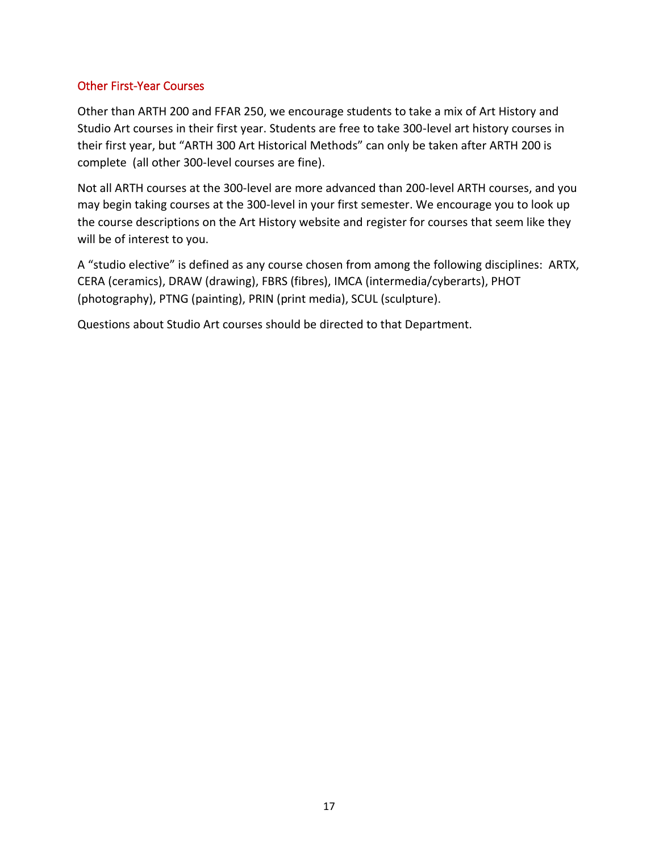#### Other First-Year Courses

Other than ARTH 200 and FFAR 250, we encourage students to take a mix of Art History and Studio Art courses in their first year. Students are free to take 300-level art history courses in their first year, but "ARTH 300 Art Historical Methods" can only be taken after ARTH 200 is complete (all other 300-level courses are fine).

Not all ARTH courses at the 300-level are more advanced than 200-level ARTH courses, and you may begin taking courses at the 300-level in your first semester. We encourage you to look up the course descriptions on the Art History website and register for courses that seem like they will be of interest to you.

A "studio elective" is defined as any course chosen from among the following disciplines: ARTX, CERA (ceramics), DRAW (drawing), FBRS (fibres), IMCA (intermedia/cyberarts), PHOT (photography), PTNG (painting), PRIN (print media), SCUL (sculpture).

Questions about Studio Art courses should be directed to that Department.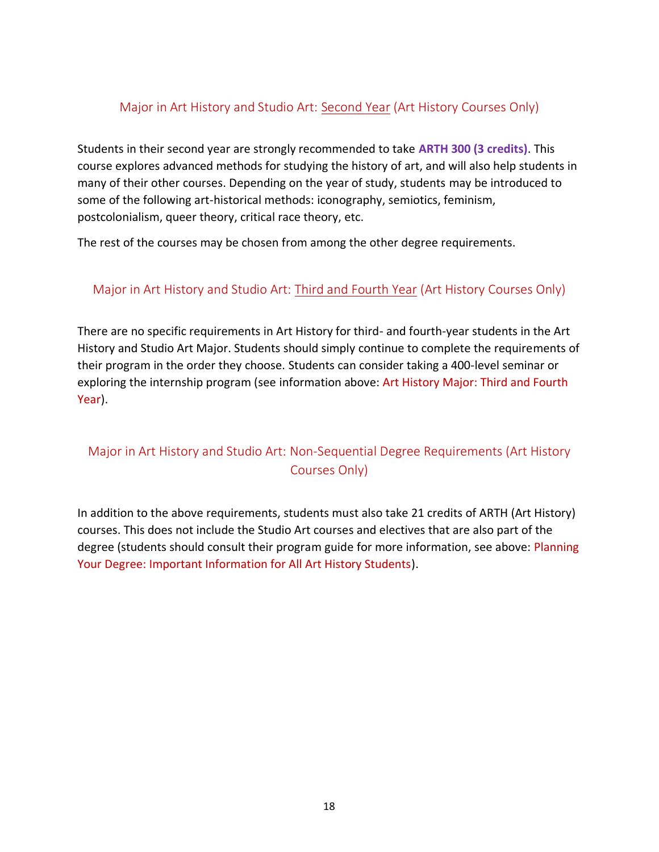#### <span id="page-17-0"></span>Major in Art History and Studio Art: Second Year (Art History Courses Only)

Students in their second year are strongly recommended to take **ARTH 300 (3 credits)**. This course explores advanced methods for studying the history of art, and will also help students in many of their other courses. Depending on the year of study, students may be introduced to some of the following art-historical methods: iconography, semiotics, feminism, postcolonialism, queer theory, critical race theory, etc.

The rest of the courses may be chosen from among the other degree requirements.

### <span id="page-17-1"></span>Major in Art History and Studio Art: Third and Fourth Year (Art History Courses Only)

There are no specific requirements in Art History for third- and fourth-year students in the Art History and Studio Art Major. Students should simply continue to complete the requirements of their program in the order they choose. Students can consider taking a 400-level seminar or exploring the internship program (see information above: Art History Major: Third and Fourth Year).

## <span id="page-17-2"></span>Major in Art History and Studio Art: Non-Sequential Degree Requirements (Art History Courses Only)

In addition to the above requirements, students must also take 21 credits of ARTH (Art History) courses. This does not include the Studio Art courses and electives that are also part of the degree (students should consult their program guide for more information, see above: Planning Your Degree: Important Information for All Art History Students).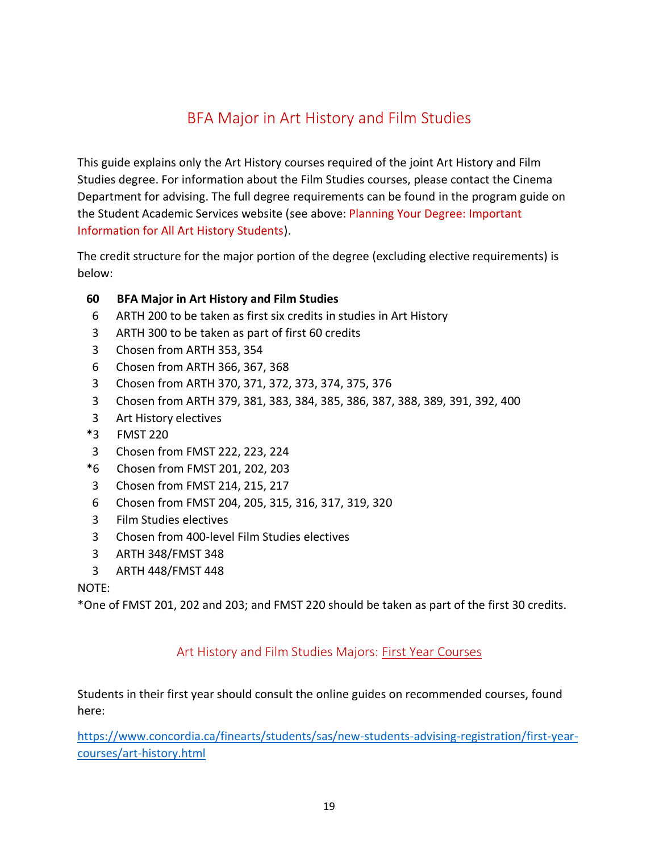# BFA Major in Art History and Film Studies

<span id="page-18-0"></span>This guide explains only the Art History courses required of the joint Art History and Film Studies degree. For information about the Film Studies courses, please contact the Cinema Department for advising. The full degree requirements can be found in the program guide on the Student Academic Services website (see above: Planning Your Degree: Important Information for All Art History Students).

The credit structure for the major portion of the degree (excluding elective requirements) is below:

#### **60 BFA Major in Art History and Film Studies**

- 6 ARTH 200 to be taken as first six credits in studies in Art History
- 3 ARTH 300 to be taken as part of first 60 credits
- 3 Chosen from ARTH 353, 354
- 6 Chosen from ARTH 366, 367, 368
- 3 Chosen from ARTH 370, 371, 372, 373, 374, 375, 376
- 3 Chosen from ARTH 379, 381, 383, 384, 385, 386, 387, 388, 389, 391, 392, 400
- 3 Art History electives
- \*3 FMST 220
- 3 Chosen from FMST 222, 223, 224
- \*6 Chosen from FMST 201, 202, 203
- 3 Chosen from FMST 214, 215, 217
- 6 Chosen from FMST 204, 205, 315, 316, 317, 319, 320
- 3 Film Studies electives
- 3 Chosen from 400-level Film Studies electives
- 3 ARTH 348/FMST 348
- 3 ARTH 448/FMST 448

#### NOTE:

<span id="page-18-1"></span>\*One of FMST 201, 202 and 203; and FMST 220 should be taken as part of the first 30 credits.

### Art History and Film Studies Majors: First Year Courses

Students in their first year should consult the online guides on recommended courses, found here:

[https://www.concordia.ca/finearts/students/sas/new-students-advising-registration/first-year](https://www.concordia.ca/finearts/students/sas/new-students-advising-registration/first-year-courses/art-history.html)[courses/art-history.html](https://www.concordia.ca/finearts/students/sas/new-students-advising-registration/first-year-courses/art-history.html)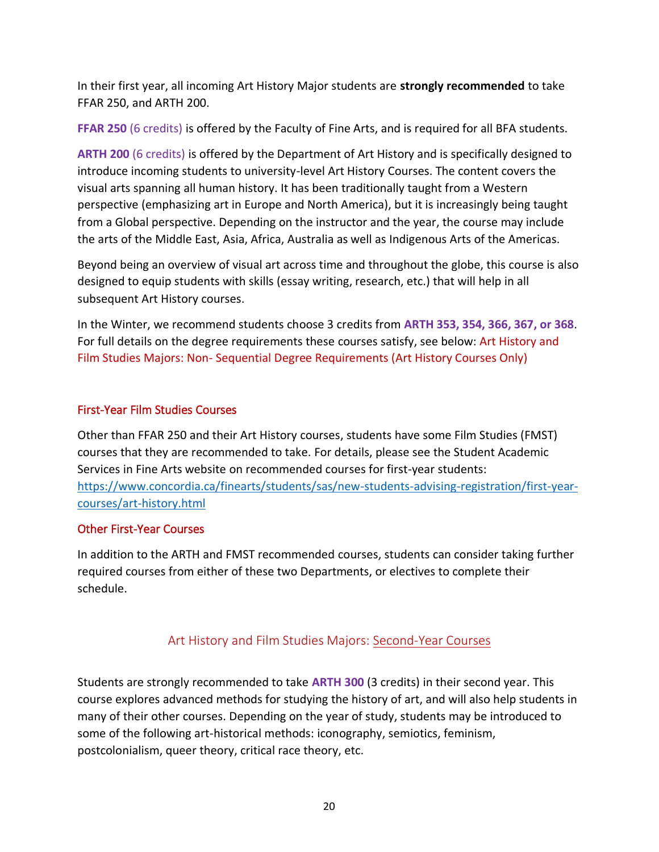In their first year, all incoming Art History Major students are **strongly recommended** to take FFAR 250, and ARTH 200.

**FFAR 250** (6 credits) is offered by the Faculty of Fine Arts, and is required for all BFA students.

**ARTH 200** (6 credits) is offered by the Department of Art History and is specifically designed to introduce incoming students to university-level Art History Courses. The content covers the visual arts spanning all human history. It has been traditionally taught from a Western perspective (emphasizing art in Europe and North America), but it is increasingly being taught from a Global perspective. Depending on the instructor and the year, the course may include the arts of the Middle East, Asia, Africa, Australia as well as Indigenous Arts of the Americas.

Beyond being an overview of visual art across time and throughout the globe, this course is also designed to equip students with skills (essay writing, research, etc.) that will help in all subsequent Art History courses.

In the Winter, we recommend students choose 3 credits from **ARTH 353, 354, 366, 367, or 368**. For full details on the degree requirements these courses satisfy, see below: Art History and Film Studies Majors: Non- Sequential Degree Requirements (Art History Courses Only)

#### First-Year Film Studies Courses

Other than FFAR 250 and their Art History courses, students have some Film Studies (FMST) courses that they are recommended to take. For details, please see the Student Academic Services in Fine Arts website on recommended courses for first-year students: [https://www.concordia.ca/finearts/students/sas/new-students-advising-registration/first-year](https://www.concordia.ca/finearts/students/sas/new-students-advising-registration/first-year-courses/art-history.html)[courses/art-history.html](https://www.concordia.ca/finearts/students/sas/new-students-advising-registration/first-year-courses/art-history.html)

#### Other First-Year Courses

In addition to the ARTH and FMST recommended courses, students can consider taking further required courses from either of these two Departments, or electives to complete their schedule.

### Art History and Film Studies Majors: Second-Year Courses

<span id="page-19-0"></span>Students are strongly recommended to take **ARTH 300** (3 credits) in their second year. This course explores advanced methods for studying the history of art, and will also help students in many of their other courses. Depending on the year of study, students may be introduced to some of the following art-historical methods: iconography, semiotics, feminism, postcolonialism, queer theory, critical race theory, etc.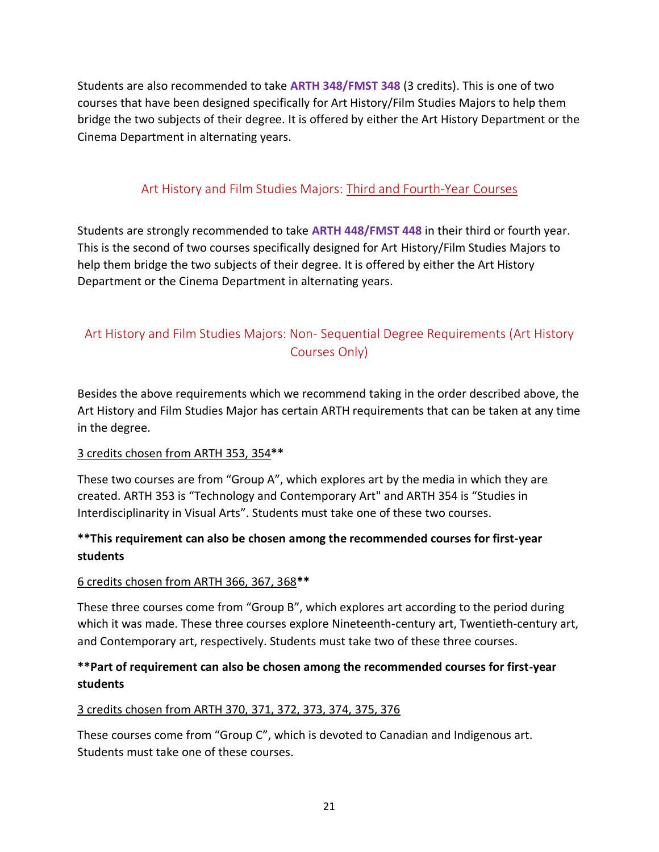Students are also recommended to take **ARTH 348/FMST 348** (3 credits). This is one of two courses that have been designed specifically for Art History/Film Studies Majors to help them bridge the two subjects of their degree. It is offered by either the Art History Department or the Cinema Department in alternating years.

## Art History and Film Studies Majors: Third and Fourth-Year Courses

<span id="page-20-0"></span>Students are strongly recommended to take **ARTH 448/FMST 448** in their third or fourth year. This is the second of two courses specifically designed for Art History/Film Studies Majors to help them bridge the two subjects of their degree. It is offered by either the Art History Department or the Cinema Department in alternating years.

# <span id="page-20-1"></span>Art History and Film Studies Majors: Non- Sequential Degree Requirements (Art History Courses Only)

Besides the above requirements which we recommend taking in the order described above, the Art History and Film Studies Major has certain ARTH requirements that can be taken at any time in the degree.

#### 3 credits chosen from ARTH 353, 354**\*\***

These two courses are from "Group A", which explores art by the media in which they are created. ARTH 353 is "Technology and Contemporary Art" and ARTH 354 is "Studies in Interdisciplinarity in Visual Arts". Students must take one of these two courses.

### **\*\*This requirement can also be chosen among the recommended courses for first-year students**

#### 6 credits chosen from ARTH 366, 367, 368**\*\***

These three courses come from "Group B", which explores art according to the period during which it was made. These three courses explore Nineteenth-century art, Twentieth-century art, and Contemporary art, respectively. Students must take two of these three courses.

### **\*\*Part of requirement can also be chosen among the recommended courses for first-year students**

### 3 credits chosen from ARTH 370, 371, 372, 373, 374, 375, 376

These courses come from "Group C", which is devoted to Canadian and Indigenous art. Students must take one of these courses.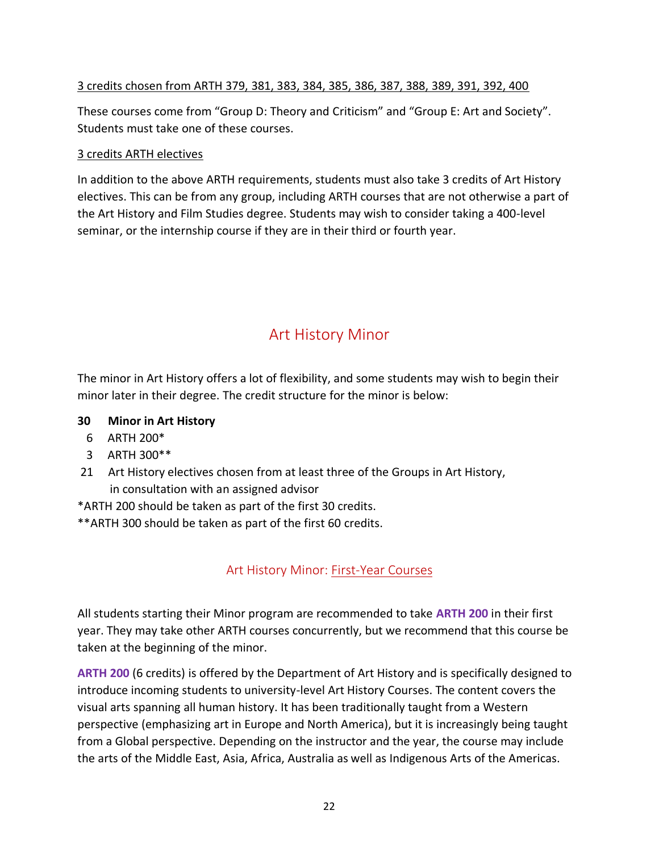#### 3 credits chosen from ARTH 379, 381, 383, 384, 385, 386, 387, 388, 389, 391, 392, 400

These courses come from "Group D: Theory and Criticism" and "Group E: Art and Society". Students must take one of these courses.

#### 3 credits ARTH electives

In addition to the above ARTH requirements, students must also take 3 credits of Art History electives. This can be from any group, including ARTH courses that are not otherwise a part of the Art History and Film Studies degree. Students may wish to consider taking a 400-level seminar, or the internship course if they are in their third or fourth year.

# Art History Minor

<span id="page-21-0"></span>The minor in Art History offers a lot of flexibility, and some students may wish to begin their minor later in their degree. The credit structure for the minor is below:

- **30 Minor in Art History**
	- 6 ARTH 200\*
	- 3 ARTH 300\*\*
- 21 Art History electives chosen from at least three of the Groups in Art History, in consultation with an assigned advisor
- \*ARTH 200 should be taken as part of the first 30 credits.
- <span id="page-21-1"></span>\*\*ARTH 300 should be taken as part of the first 60 credits.

## Art History Minor: First-Year Courses

All students starting their Minor program are recommended to take **ARTH 200** in their first year. They may take other ARTH courses concurrently, but we recommend that this course be taken at the beginning of the minor.

**ARTH 200** (6 credits) is offered by the Department of Art History and is specifically designed to introduce incoming students to university-level Art History Courses. The content covers the visual arts spanning all human history. It has been traditionally taught from a Western perspective (emphasizing art in Europe and North America), but it is increasingly being taught from a Global perspective. Depending on the instructor and the year, the course may include the arts of the Middle East, Asia, Africa, Australia as well as Indigenous Arts of the Americas.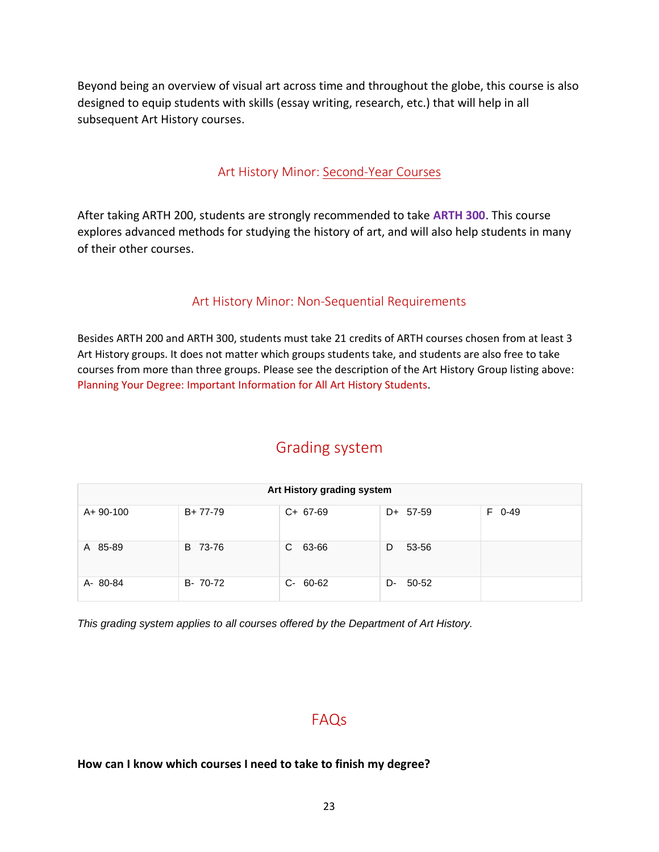Beyond being an overview of visual art across time and throughout the globe, this course is also designed to equip students with skills (essay writing, research, etc.) that will help in all subsequent Art History courses.

### Art History Minor: Second-Year Courses

<span id="page-22-0"></span>After taking ARTH 200, students are strongly recommended to take **ARTH 300**. This course explores advanced methods for studying the history of art, and will also help students in many of their other courses.

#### Art History Minor: Non-Sequential Requirements

<span id="page-22-1"></span>Besides ARTH 200 and ARTH 300, students must take 21 credits of ARTH courses chosen from at least 3 Art History groups. It does not matter which groups students take, and students are also free to take courses from more than three groups. Please see the description of the Art History Group listing above: Planning Your Degree: Important Information for All Art History Students.

## Grading system

<span id="page-22-2"></span>

| Art History grading system |          |               |             |                |  |  |
|----------------------------|----------|---------------|-------------|----------------|--|--|
| $A + 90 - 100$             | B+77-79  | $C+ 67-69$    | $D+ 57-59$  | $0 - 49$<br>F. |  |  |
| A 85-89                    | B 73-76  | C.<br>63-66   | 53-56<br>D  |                |  |  |
| A-80-84                    | B- 70-72 | $C - 60 - 62$ | 50-52<br>D- |                |  |  |

*This grading system applies to all courses offered by the Department of Art History.*

# FAQs

#### <span id="page-22-3"></span>**How can I know which courses I need to take to finish my degree?**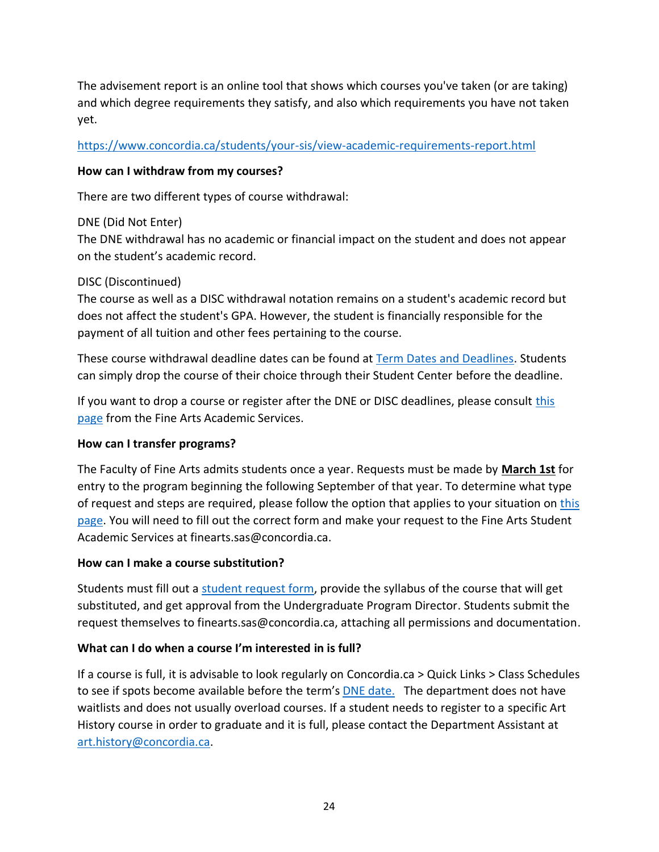The advisement report is an online tool that shows which courses you've taken (or are taking) and which degree requirements they satisfy, and also which requirements you have not taken yet.

[https://www.concordia.ca/students/your-sis/view-academic-requirements-report.html](https://can01.safelinks.protection.outlook.com/?url=https%3A%2F%2Fwww.concordia.ca%2Fstudents%2Fyour-sis%2Fview-academic-requirements-report.html&data=04%7C01%7Cart.history%40concordia.ca%7C6f052238f9344d18266d08d979f620a3%7C5569f185d22f4e139850ce5b1abcd2e8%7C0%7C0%7C637674920407749231%7CUnknown%7CTWFpbGZsb3d8eyJWIjoiMC4wLjAwMDAiLCJQIjoiV2luMzIiLCJBTiI6Ik1haWwiLCJXVCI6Mn0%3D%7C1000&sdata=xHikuVAXEpbBQkoM4WucfR%2BiD%2FXoYC9kk%2BIFnKcQsdE%3D&reserved=0)

#### **How can I withdraw from my courses?**

There are two different types of course withdrawal:

#### DNE (Did Not Enter)

The DNE withdrawal has no academic or financial impact on the student and does not appear on the student's academic record.

#### DISC (Discontinued)

The course as well as a DISC withdrawal notation remains on a student's academic record but does not affect the student's GPA. However, the student is financially responsible for the payment of all tuition and other fees pertaining to the course.

These course withdrawal deadline dates can be found at [Term Dates and Deadlines.](https://www.concordia.ca/students/registration/term-dates-deadlines.html) Students can simply drop the course of their choice through their Student Center before the deadline.

If you want to drop a course or register after the DNE or DISC deadlines, please consult [this](https://www.concordia.ca/finearts/students/sas/requests.html)  [page](https://www.concordia.ca/finearts/students/sas/requests.html) from the Fine Arts Academic Services.

#### **How can I transfer programs?**

The Faculty of Fine Arts admits students once a year. Requests must be made by **March 1st** for entry to the program beginning the following September of that year. To determine what type of request and steps are required, please follow the option that applies to your situation on [this](https://www.concordia.ca/finearts/students/sas/transferring-programs.html)  [page.](https://www.concordia.ca/finearts/students/sas/transferring-programs.html) You will need to fill out the correct form and make your request to the Fine Arts Student Academic Services at finearts.sas@concordia.ca.

#### **How can I make a course substitution?**

Students must fill out a [student request form,](https://www.concordia.ca/content/dam/finearts/docs/general-student-request.pdf) provide the syllabus of the course that will get substituted, and get approval from the Undergraduate Program Director. Students submit the request themselves to finearts.sas@concordia.ca, attaching all permissions and documentation.

#### **What can I do when a course I'm interested in is full?**

If a course is full, it is advisable to look regularly on Concordia.ca > Quick Links > Class Schedules to see if spots become available before the term's [DNE date.](https://www.concordia.ca/students/registration/term-dates-deadlines.html) The department does not have waitlists and does not usually overload courses. If a student needs to register to a specific Art History course in order to graduate and it is full, please contact the Department Assistant at [art.history@concordia.ca.](mailto:art.history@concordia.ca)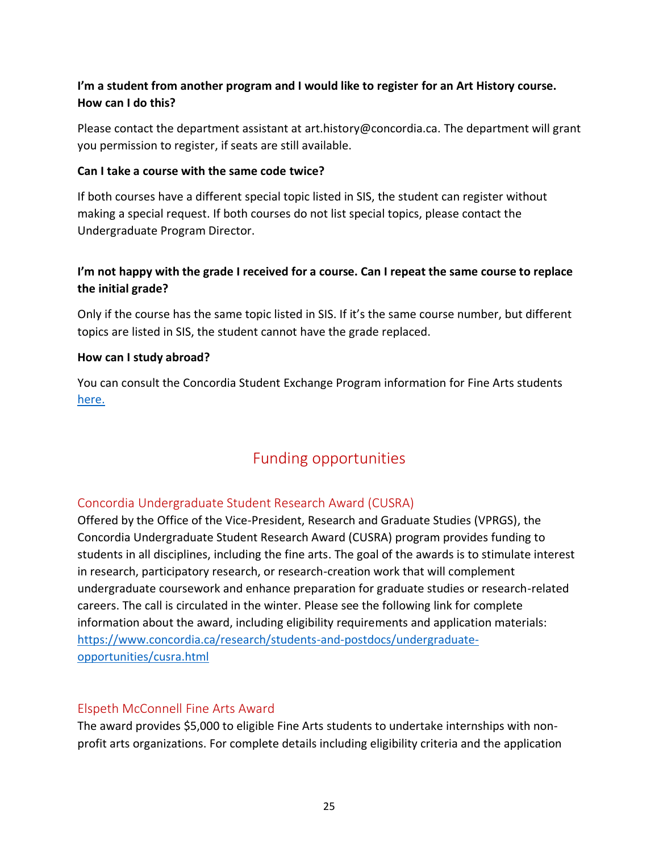### **I'm a student from another program and I would like to register for an Art History course. How can I do this?**

Please contact the department assistant at [art.history@concordia.ca.](mailto:art.history@concordia.ca) The department will grant you permission to register, if seats are still available.

#### **Can I take a course with the same code twice?**

If both courses have a different special topic listed in SIS, the student can register without making a special request. If both courses do not list special topics, please contact the Undergraduate Program Director.

### **I'm not happy with the grade I received for a course. Can I repeat the same course to replace the initial grade?**

Only if the course has the same topic listed in SIS. If it's the same course number, but different topics are listed in SIS, the student cannot have the grade replaced.

#### **How can I study abroad?**

You can consult the Concordia Student Exchange Program information for Fine Arts students [here.](https://www.concordia.ca/finearts/academics/visiting-exchange.html)

# Funding opportunities

### <span id="page-24-1"></span><span id="page-24-0"></span>Concordia Undergraduate Student Research Award (CUSRA)

Offered by the Office of the Vice-President, Research and Graduate Studies (VPRGS), the Concordia Undergraduate Student Research Award (CUSRA) program provides funding to students in all disciplines, including the fine arts. The goal of the awards is to stimulate interest in research, participatory research, or research-creation work that will complement undergraduate coursework and enhance preparation for graduate studies or research-related careers. The call is circulated in the winter. Please see the following link for complete information about the award, including eligibility requirements and application materials: [https://www.concordia.ca/research/students-and-postdocs/undergraduate](https://www.concordia.ca/research/students-and-postdocs/undergraduate-opportunities/cusra.html)[opportunities/cusra.html](https://www.concordia.ca/research/students-and-postdocs/undergraduate-opportunities/cusra.html)

#### <span id="page-24-2"></span>Elspeth McConnell Fine Arts Award

The award provides \$5,000 to eligible Fine Arts students to undertake internships with nonprofit arts organizations. For complete details including eligibility criteria and the application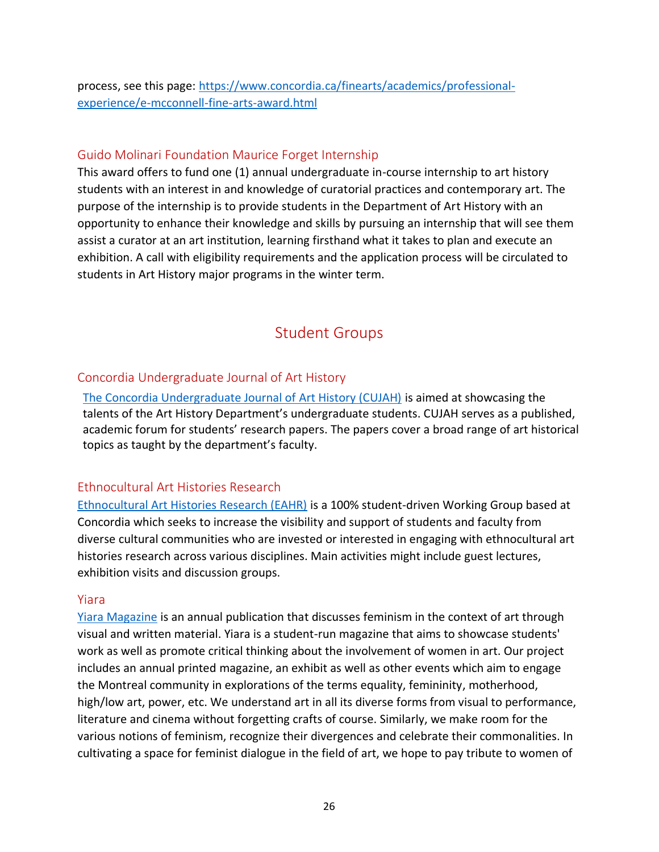process, see this page: [https://www.concordia.ca/finearts/academics/professional](https://www.concordia.ca/finearts/academics/professional-experience/e-mcconnell-fine-arts-award.html)[experience/e-mcconnell-fine-arts-award.html](https://www.concordia.ca/finearts/academics/professional-experience/e-mcconnell-fine-arts-award.html)

#### <span id="page-25-0"></span>Guido Molinari Foundation Maurice Forget Internship

This award offers to fund one (1) annual undergraduate in-course internship to art history students with an interest in and knowledge of curatorial practices and contemporary art. The purpose of the internship is to provide students in the Department of Art History with an opportunity to enhance their knowledge and skills by pursuing an internship that will see them assist a curator at an art institution, learning firsthand what it takes to plan and execute an exhibition. A call with eligibility requirements and the application process will be circulated to students in Art History major programs in the winter term.

# Student Groups

#### <span id="page-25-2"></span><span id="page-25-1"></span>Concordia Undergraduate Journal of Art History

[The Concordia Undergraduate Journal of Art History \(CUJAH\)](http://cujah.ca/) is aimed at showcasing the talents of the Art History Department's undergraduate students. CUJAH serves as a published, academic forum for students' research papers. The papers cover a broad range of art historical topics as taught by the department's faculty.

### <span id="page-25-3"></span>Ethnocultural Art Histories Research

[Ethnocultural Art Histories Research \(EAHR\)](https://www.ethnoculturalarts.com/) is a 100% student-driven Working Group based at Concordia which seeks to increase the visibility and support of students and faculty from diverse cultural communities who are invested or interested in engaging with ethnocultural art histories research across various disciplines. Main activities might include guest lectures, exhibition visits and discussion groups.

#### <span id="page-25-4"></span>Yiara

[Yiara Magazine](https://yiaramagazine.com/) is an annual publication that discusses feminism in the context of art through visual and written material. Yiara is a student-run magazine that aims to showcase students' work as well as promote critical thinking about the involvement of women in art. Our project includes an annual printed magazine, an exhibit as well as other events which aim to engage the Montreal community in explorations of the terms equality, femininity, motherhood, high/low art, power, etc. We understand art in all its diverse forms from visual to performance, literature and cinema without forgetting crafts of course. Similarly, we make room for the various notions of feminism, recognize their divergences and celebrate their commonalities. In cultivating a space for feminist dialogue in the field of art, we hope to pay tribute to women of